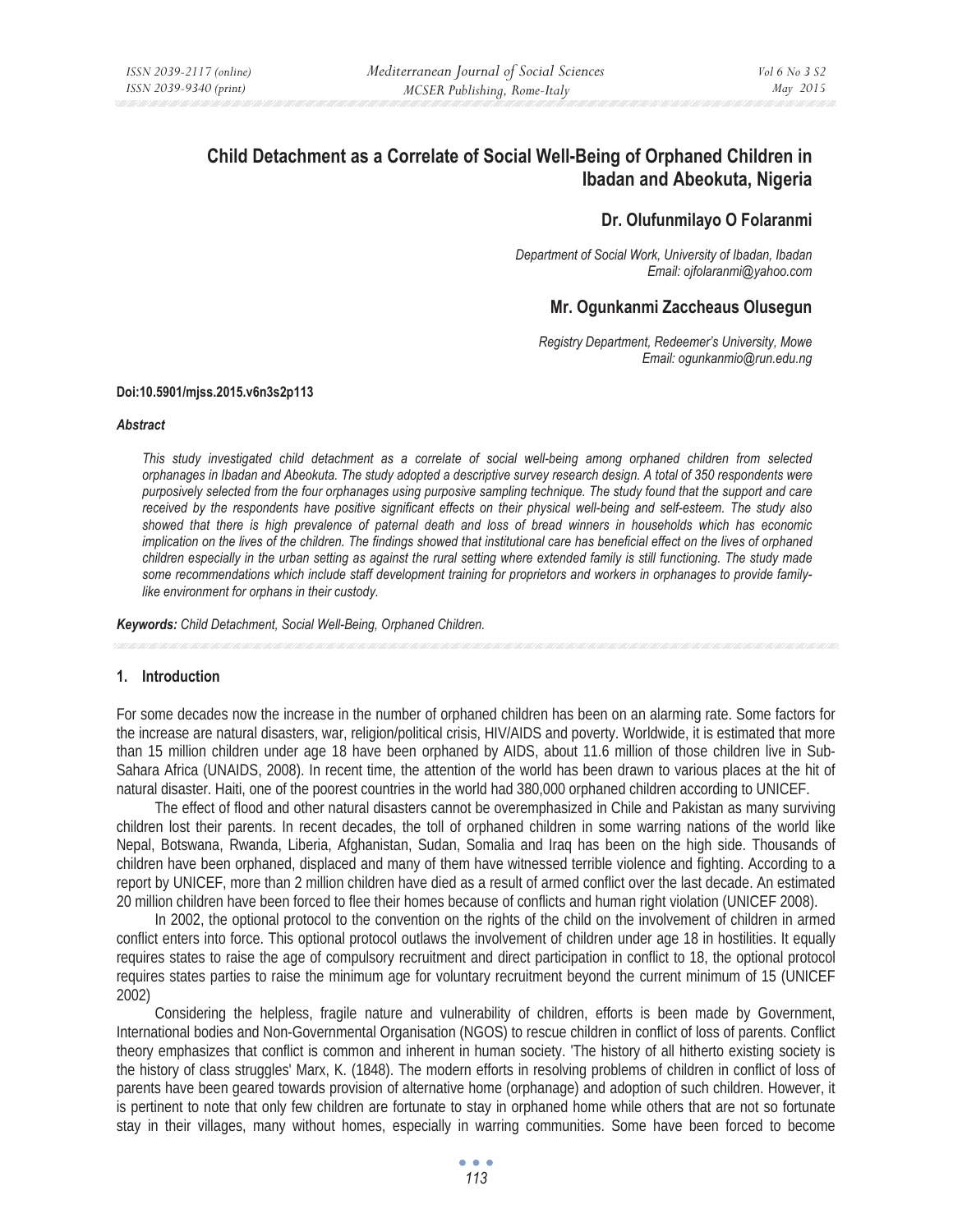# **Child Detachment as a Correlate of Social Well-Being of Orphaned Children in Ibadan and Abeokuta, Nigeria**

### **Dr. Olufunmilayo O Folaranmi**

*Department of Social Work, University of Ibadan, Ibadan Email: ojfolaranmi@yahoo.com* 

## **Mr. Ogunkanmi Zaccheaus Olusegun**

*Registry Department, Redeemer's University, Mowe Email: ogunkanmio@run.edu.ng* 

#### **Doi:10.5901/mjss.2015.v6n3s2p113**

#### *Abstract*

*This study investigated child detachment as a correlate of social well-being among orphaned children from selected orphanages in Ibadan and Abeokuta. The study adopted a descriptive survey research design. A total of 350 respondents were purposively selected from the four orphanages using purposive sampling technique. The study found that the support and care received by the respondents have positive significant effects on their physical well-being and self-esteem. The study also showed that there is high prevalence of paternal death and loss of bread winners in households which has economic implication on the lives of the children. The findings showed that institutional care has beneficial effect on the lives of orphaned children especially in the urban setting as against the rural setting where extended family is still functioning. The study made some recommendations which include staff development training for proprietors and workers in orphanages to provide familylike environment for orphans in their custody.* 

*Keywords: Child Detachment, Social Well-Being, Orphaned Children.*

#### **1. Introduction**

For some decades now the increase in the number of orphaned children has been on an alarming rate. Some factors for the increase are natural disasters, war, religion/political crisis, HIV/AIDS and poverty. Worldwide, it is estimated that more than 15 million children under age 18 have been orphaned by AIDS, about 11.6 million of those children live in Sub-Sahara Africa (UNAIDS, 2008). In recent time, the attention of the world has been drawn to various places at the hit of natural disaster. Haiti, one of the poorest countries in the world had 380,000 orphaned children according to UNICEF.

The effect of flood and other natural disasters cannot be overemphasized in Chile and Pakistan as many surviving children lost their parents. In recent decades, the toll of orphaned children in some warring nations of the world like Nepal, Botswana, Rwanda, Liberia, Afghanistan, Sudan, Somalia and Iraq has been on the high side. Thousands of children have been orphaned, displaced and many of them have witnessed terrible violence and fighting. According to a report by UNICEF, more than 2 million children have died as a result of armed conflict over the last decade. An estimated 20 million children have been forced to flee their homes because of conflicts and human right violation (UNICEF 2008).

In 2002, the optional protocol to the convention on the rights of the child on the involvement of children in armed conflict enters into force. This optional protocol outlaws the involvement of children under age 18 in hostilities. It equally requires states to raise the age of compulsory recruitment and direct participation in conflict to 18, the optional protocol requires states parties to raise the minimum age for voluntary recruitment beyond the current minimum of 15 (UNICEF 2002)

Considering the helpless, fragile nature and vulnerability of children, efforts is been made by Government, International bodies and Non-Governmental Organisation (NGOS) to rescue children in conflict of loss of parents. Conflict theory emphasizes that conflict is common and inherent in human society. 'The history of all hitherto existing society is the history of class struggles' Marx, K. (1848). The modern efforts in resolving problems of children in conflict of loss of parents have been geared towards provision of alternative home (orphanage) and adoption of such children. However, it is pertinent to note that only few children are fortunate to stay in orphaned home while others that are not so fortunate stay in their villages, many without homes, especially in warring communities. Some have been forced to become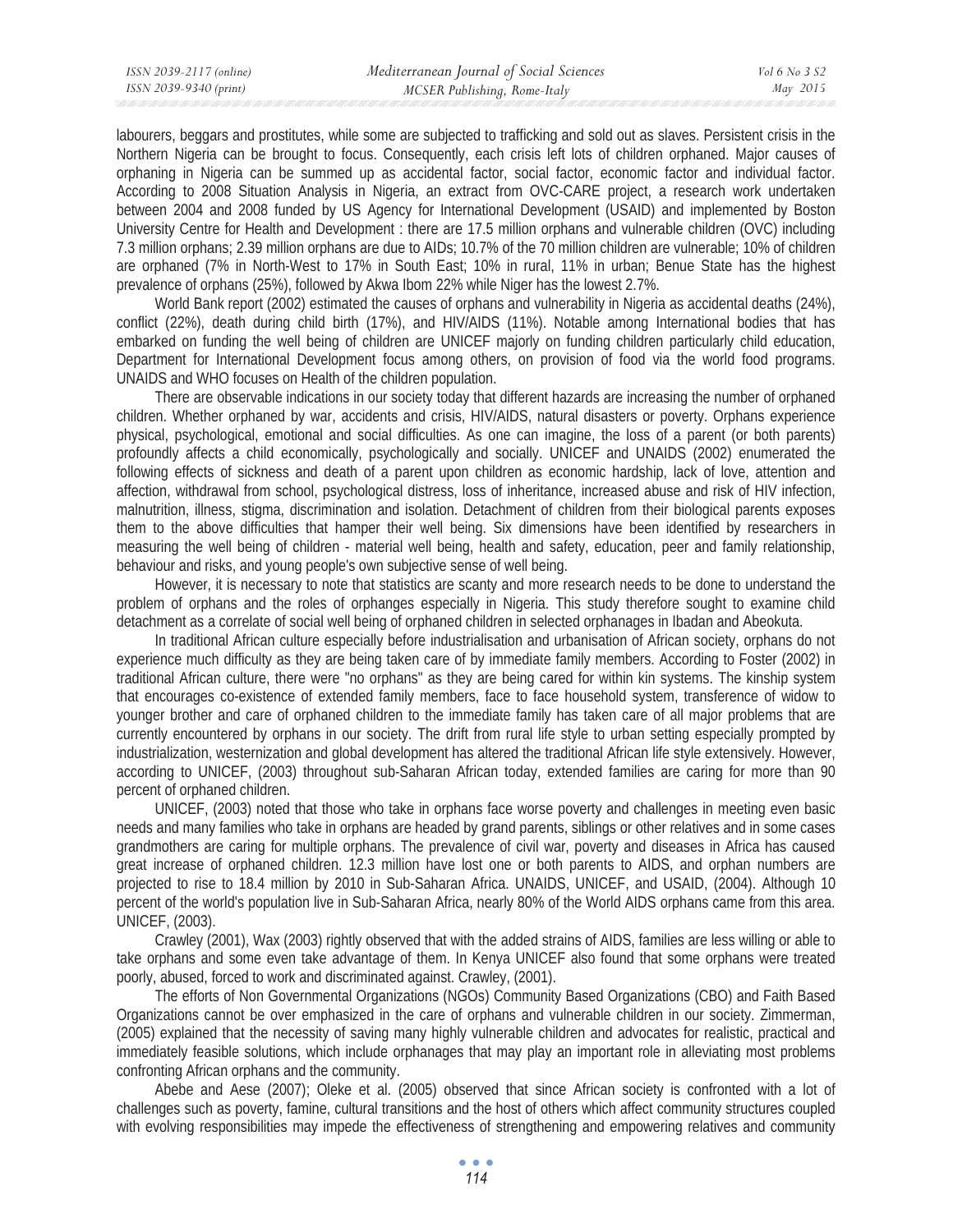labourers, beggars and prostitutes, while some are subjected to trafficking and sold out as slaves. Persistent crisis in the Northern Nigeria can be brought to focus. Consequently, each crisis left lots of children orphaned. Major causes of orphaning in Nigeria can be summed up as accidental factor, social factor, economic factor and individual factor. According to 2008 Situation Analysis in Nigeria, an extract from OVC-CARE project, a research work undertaken between 2004 and 2008 funded by US Agency for International Development (USAID) and implemented by Boston University Centre for Health and Development : there are 17.5 million orphans and vulnerable children (OVC) including 7.3 million orphans; 2.39 million orphans are due to AIDs; 10.7% of the 70 million children are vulnerable; 10% of children are orphaned (7% in North-West to 17% in South East; 10% in rural, 11% in urban; Benue State has the highest prevalence of orphans (25%), followed by Akwa Ibom 22% while Niger has the lowest 2.7%.

World Bank report (2002) estimated the causes of orphans and vulnerability in Nigeria as accidental deaths (24%), conflict (22%), death during child birth (17%), and HIV/AIDS (11%). Notable among International bodies that has embarked on funding the well being of children are UNICEF majorly on funding children particularly child education, Department for International Development focus among others, on provision of food via the world food programs. UNAIDS and WHO focuses on Health of the children population.

There are observable indications in our society today that different hazards are increasing the number of orphaned children. Whether orphaned by war, accidents and crisis, HIV/AIDS, natural disasters or poverty. Orphans experience physical, psychological, emotional and social difficulties. As one can imagine, the loss of a parent (or both parents) profoundly affects a child economically, psychologically and socially. UNICEF and UNAIDS (2002) enumerated the following effects of sickness and death of a parent upon children as economic hardship, lack of love, attention and affection, withdrawal from school, psychological distress, loss of inheritance, increased abuse and risk of HIV infection, malnutrition, illness, stigma, discrimination and isolation. Detachment of children from their biological parents exposes them to the above difficulties that hamper their well being. Six dimensions have been identified by researchers in measuring the well being of children - material well being, health and safety, education, peer and family relationship, behaviour and risks, and young people's own subjective sense of well being.

However, it is necessary to note that statistics are scanty and more research needs to be done to understand the problem of orphans and the roles of orphanges especially in Nigeria. This study therefore sought to examine child detachment as a correlate of social well being of orphaned children in selected orphanages in Ibadan and Abeokuta.

In traditional African culture especially before industrialisation and urbanisation of African society, orphans do not experience much difficulty as they are being taken care of by immediate family members. According to Foster (2002) in traditional African culture, there were "no orphans" as they are being cared for within kin systems. The kinship system that encourages co-existence of extended family members, face to face household system, transference of widow to younger brother and care of orphaned children to the immediate family has taken care of all major problems that are currently encountered by orphans in our society. The drift from rural life style to urban setting especially prompted by industrialization, westernization and global development has altered the traditional African life style extensively. However, according to UNICEF, (2003) throughout sub-Saharan African today, extended families are caring for more than 90 percent of orphaned children.

UNICEF, (2003) noted that those who take in orphans face worse poverty and challenges in meeting even basic needs and many families who take in orphans are headed by grand parents, siblings or other relatives and in some cases grandmothers are caring for multiple orphans. The prevalence of civil war, poverty and diseases in Africa has caused great increase of orphaned children. 12.3 million have lost one or both parents to AIDS, and orphan numbers are projected to rise to 18.4 million by 2010 in Sub-Saharan Africa. UNAIDS, UNICEF, and USAID, (2004). Although 10 percent of the world's population live in Sub-Saharan Africa, nearly 80% of the World AIDS orphans came from this area. UNICEF, (2003).

Crawley (2001), Wax (2003) rightly observed that with the added strains of AIDS, families are less willing or able to take orphans and some even take advantage of them. In Kenya UNICEF also found that some orphans were treated poorly, abused, forced to work and discriminated against. Crawley, (2001).

The efforts of Non Governmental Organizations (NGOs) Community Based Organizations (CBO) and Faith Based Organizations cannot be over emphasized in the care of orphans and vulnerable children in our society. Zimmerman, (2005) explained that the necessity of saving many highly vulnerable children and advocates for realistic, practical and immediately feasible solutions, which include orphanages that may play an important role in alleviating most problems confronting African orphans and the community.

Abebe and Aese (2007); Oleke et al. (2005) observed that since African society is confronted with a lot of challenges such as poverty, famine, cultural transitions and the host of others which affect community structures coupled with evolving responsibilities may impede the effectiveness of strengthening and empowering relatives and community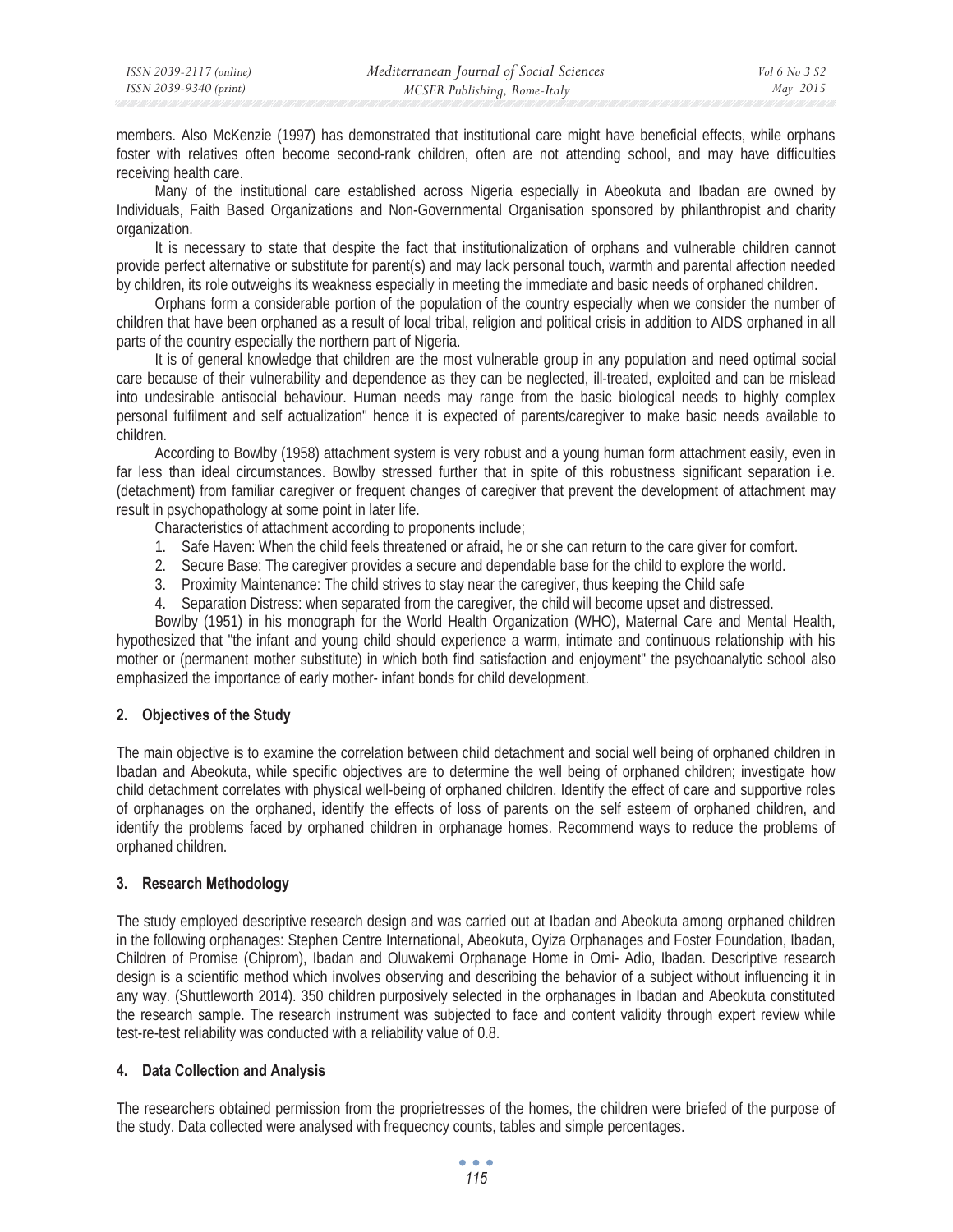members. Also McKenzie (1997) has demonstrated that institutional care might have beneficial effects, while orphans foster with relatives often become second-rank children, often are not attending school, and may have difficulties receiving health care.

Many of the institutional care established across Nigeria especially in Abeokuta and Ibadan are owned by Individuals, Faith Based Organizations and Non-Governmental Organisation sponsored by philanthropist and charity organization.

It is necessary to state that despite the fact that institutionalization of orphans and vulnerable children cannot provide perfect alternative or substitute for parent(s) and may lack personal touch, warmth and parental affection needed by children, its role outweighs its weakness especially in meeting the immediate and basic needs of orphaned children.

Orphans form a considerable portion of the population of the country especially when we consider the number of children that have been orphaned as a result of local tribal, religion and political crisis in addition to AIDS orphaned in all parts of the country especially the northern part of Nigeria.

It is of general knowledge that children are the most vulnerable group in any population and need optimal social care because of their vulnerability and dependence as they can be neglected, ill-treated, exploited and can be mislead into undesirable antisocial behaviour. Human needs may range from the basic biological needs to highly complex personal fulfilment and self actualization" hence it is expected of parents/caregiver to make basic needs available to children.

According to Bowlby (1958) attachment system is very robust and a young human form attachment easily, even in far less than ideal circumstances. Bowlby stressed further that in spite of this robustness significant separation i.e. (detachment) from familiar caregiver or frequent changes of caregiver that prevent the development of attachment may result in psychopathology at some point in later life.

Characteristics of attachment according to proponents include;

- 1. Safe Haven: When the child feels threatened or afraid, he or she can return to the care giver for comfort.
- 2. Secure Base: The caregiver provides a secure and dependable base for the child to explore the world.
- 3. Proximity Maintenance: The child strives to stay near the caregiver, thus keeping the Child safe
- 4. Separation Distress: when separated from the caregiver, the child will become upset and distressed.

Bowlby (1951) in his monograph for the World Health Organization (WHO), Maternal Care and Mental Health, hypothesized that "the infant and young child should experience a warm, intimate and continuous relationship with his mother or (permanent mother substitute) in which both find satisfaction and enjoyment" the psychoanalytic school also emphasized the importance of early mother- infant bonds for child development.

### **2. Objectives of the Study**

The main objective is to examine the correlation between child detachment and social well being of orphaned children in Ibadan and Abeokuta, while specific objectives are to determine the well being of orphaned children; investigate how child detachment correlates with physical well-being of orphaned children. Identify the effect of care and supportive roles of orphanages on the orphaned, identify the effects of loss of parents on the self esteem of orphaned children, and identify the problems faced by orphaned children in orphanage homes. Recommend ways to reduce the problems of orphaned children.

### **3. Research Methodology**

The study employed descriptive research design and was carried out at Ibadan and Abeokuta among orphaned children in the following orphanages: Stephen Centre International, Abeokuta, Oyiza Orphanages and Foster Foundation, Ibadan, Children of Promise (Chiprom), Ibadan and Oluwakemi Orphanage Home in Omi- Adio, Ibadan. Descriptive research design is a scientific method which involves observing and describing the behavior of a subject without influencing it in any way. (Shuttleworth 2014). 350 children purposively selected in the orphanages in Ibadan and Abeokuta constituted the research sample. The research instrument was subjected to face and content validity through expert review while test-re-test reliability was conducted with a reliability value of 0.8.

### **4. Data Collection and Analysis**

The researchers obtained permission from the proprietresses of the homes, the children were briefed of the purpose of the study. Data collected were analysed with frequecncy counts, tables and simple percentages.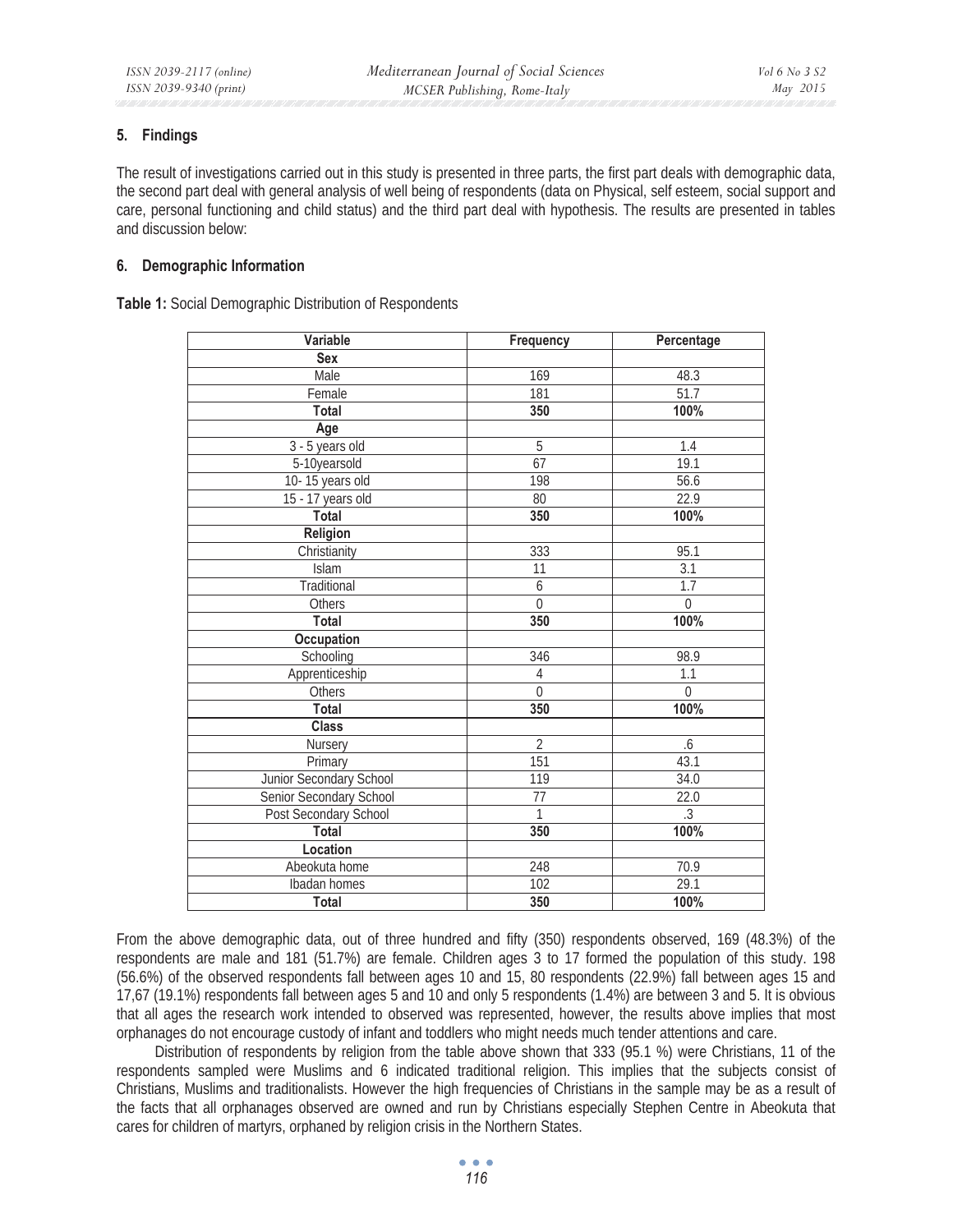### **5. Findings**

The result of investigations carried out in this study is presented in three parts, the first part deals with demographic data, the second part deal with general analysis of well being of respondents (data on Physical, self esteem, social support and care, personal functioning and child status) and the third part deal with hypothesis. The results are presented in tables and discussion below:

### **6. Demographic Information**

**Table 1:** Social Demographic Distribution of Respondents

| Variable                | Frequency       | Percentage        |
|-------------------------|-----------------|-------------------|
| <b>Sex</b>              |                 |                   |
| Male                    | 169             | 48.3              |
| Female                  | 181             | $\overline{51.7}$ |
| <b>Total</b>            | 350             | 100%              |
| Age                     |                 |                   |
| 3 - 5 years old         | $\overline{5}$  | 1.4               |
| 5-10yearsold            | 67              | 19.1              |
| 10-15 years old         | 198             | 56.6              |
| 15 - 17 years old       | $\overline{80}$ | 22.9              |
| Total                   | 350             | 100%              |
| Religion                |                 |                   |
| Christianity            | 333             | 95.1              |
| Islam                   | $\overline{11}$ | 3.1               |
| Traditional             | 6               | 1.7               |
| Others                  | $\mathbf 0$     | $\boldsymbol{0}$  |
| <b>Total</b>            | 350             | 100%              |
| Occupation              |                 |                   |
| Schooling               | 346             | 98.9              |
| Apprenticeship          | $\sqrt{4}$      | 1.1               |
| Others                  | $\overline{0}$  | $\theta$          |
| <b>Total</b>            | 350             | 100%              |
| <b>Class</b>            |                 |                   |
| Nursery                 | $\overline{2}$  | .6                |
| Primary                 | 151             | 43.1              |
| Junior Secondary School | 119             | 34.0              |
| Senior Secondary School | $\overline{77}$ | 22.0              |
| Post Secondary School   | 1               | $\overline{.3}$   |
| Total                   | 350             | 100%              |
| Location                |                 |                   |
| Abeokuta home           | 248             | 70.9              |
| Ibadan homes            | 102             | 29.1              |
| <b>Total</b>            | 350             | 100%              |

From the above demographic data, out of three hundred and fifty (350) respondents observed, 169 (48.3%) of the respondents are male and 181 (51.7%) are female. Children ages 3 to 17 formed the population of this study. 198 (56.6%) of the observed respondents fall between ages 10 and 15, 80 respondents (22.9%) fall between ages 15 and 17,67 (19.1%) respondents fall between ages 5 and 10 and only 5 respondents (1.4%) are between 3 and 5. It is obvious that all ages the research work intended to observed was represented, however, the results above implies that most orphanages do not encourage custody of infant and toddlers who might needs much tender attentions and care.

Distribution of respondents by religion from the table above shown that 333 (95.1 %) were Christians, 11 of the respondents sampled were Muslims and 6 indicated traditional religion. This implies that the subjects consist of Christians, Muslims and traditionalists. However the high frequencies of Christians in the sample may be as a result of the facts that all orphanages observed are owned and run by Christians especially Stephen Centre in Abeokuta that cares for children of martyrs, orphaned by religion crisis in the Northern States.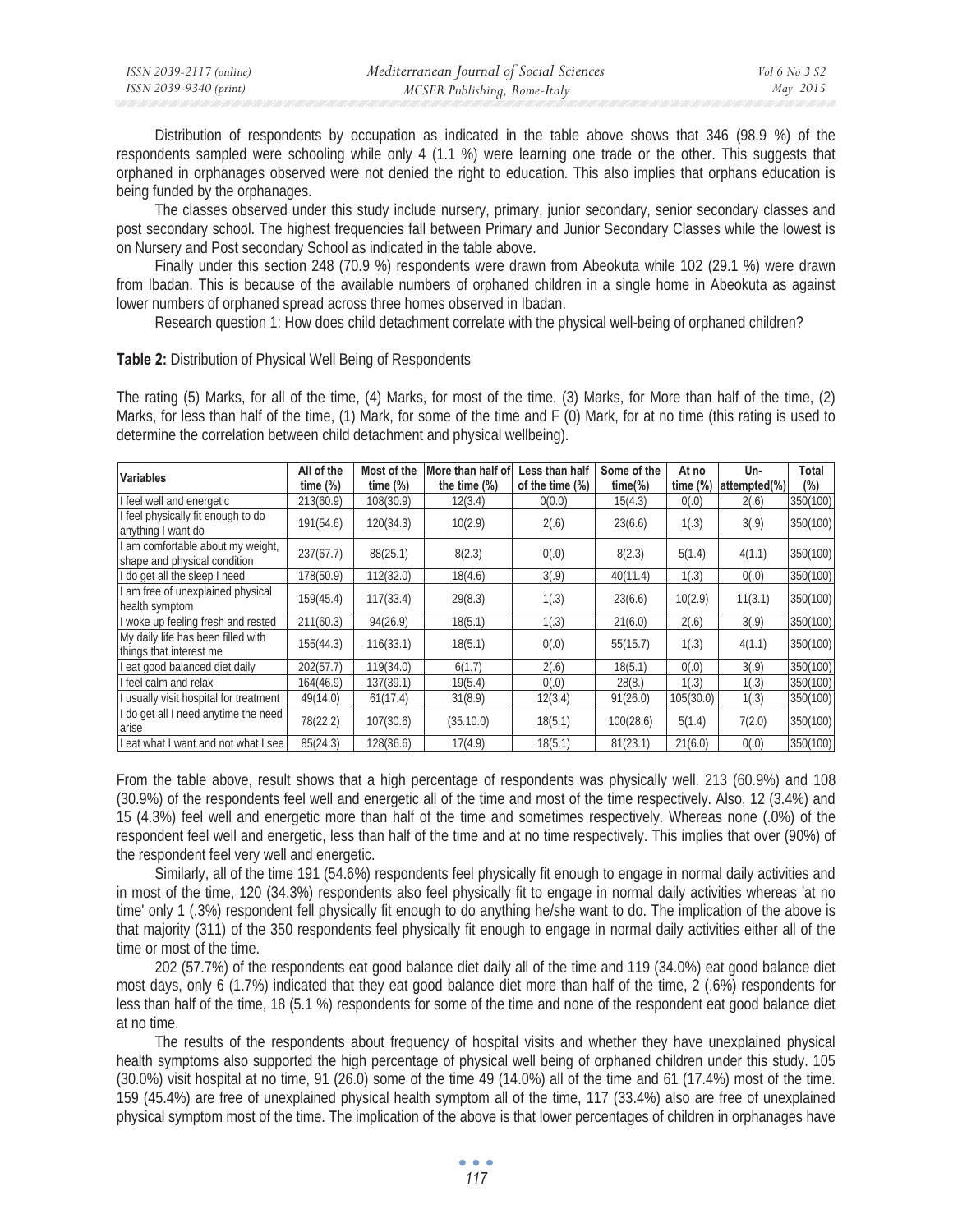| ISSN 2039-2117 (online) | Mediterranean Journal of Social Sciences | Vol 6 No 3 S2 |
|-------------------------|------------------------------------------|---------------|
| ISSN 2039-9340 (print)  | MCSER Publishing, Rome-Italy             | May 2015      |

Distribution of respondents by occupation as indicated in the table above shows that 346 (98.9 %) of the respondents sampled were schooling while only 4 (1.1 %) were learning one trade or the other. This suggests that orphaned in orphanages observed were not denied the right to education. This also implies that orphans education is being funded by the orphanages.

The classes observed under this study include nursery, primary, junior secondary, senior secondary classes and post secondary school. The highest frequencies fall between Primary and Junior Secondary Classes while the lowest is on Nursery and Post secondary School as indicated in the table above.

Finally under this section 248 (70.9 %) respondents were drawn from Abeokuta while 102 (29.1 %) were drawn from Ibadan. This is because of the available numbers of orphaned children in a single home in Abeokuta as against lower numbers of orphaned spread across three homes observed in Ibadan.

Research question 1: How does child detachment correlate with the physical well-being of orphaned children?

The rating (5) Marks, for all of the time, (4) Marks, for most of the time, (3) Marks, for More than half of the time, (2) Marks, for less than half of the time, (1) Mark, for some of the time and F (0) Mark, for at no time (this rating is used to

|                                                                 | All of the  | Most of the | More than half of | Less than half  | Some of the | At no        | Un-          | Total    |
|-----------------------------------------------------------------|-------------|-------------|-------------------|-----------------|-------------|--------------|--------------|----------|
| <b>Variables</b>                                                | time $(\%)$ | time $(\%)$ | the time $(\%)$   | of the time (%) | $time(\%)$  | time $(\% )$ | attempted(%) | $(\% )$  |
| I feel well and energetic                                       | 213(60.9)   | 108(30.9)   | 12(3.4)           | 0(0.0)          | 15(4.3)     | 0(.0)        | 2(.6)        | 350(100) |
| I feel physically fit enough to do<br>anything I want do        | 191(54.6)   | 120(34.3)   | 10(2.9)           | 2(.6)           | 23(6.6)     | 1(.3)        | 3(.9)        | 350(100) |
| am comfortable about my weight,<br>shape and physical condition | 237(67.7)   | 88(25.1)    | 8(2.3)            | 0(.0)           | 8(2.3)      | 5(1.4)       | 4(1.1)       | 350(100) |
| I do get all the sleep I need                                   | 178(50.9)   | 112(32.0)   | 18(4.6)           | 3(.9)           | 40(11.4)    | 1(.3)        | 0(.0)        | 350(100) |
| am free of unexplained physical<br>health symptom               | 159(45.4)   | 117(33.4)   | 29(8.3)           | 1(.3)           | 23(6.6)     | 10(2.9)      | 11(3.1)      | 350(100) |
| I woke up feeling fresh and rested                              | 211(60.3)   | 94(26.9)    | 18(5.1)           | 1(.3)           | 21(6.0)     | 2(.6)        | 3(0,9)       | 350(100) |
| My daily life has been filled with<br>things that interest me   | 155(44.3)   | 116(33.1)   | 18(5.1)           | 0(.0)           | 55(15.7)    | 1(.3)        | 4(1.1)       | 350(100) |
| eat good balanced diet daily                                    | 202(57.7)   | 119(34.0)   | 6(1.7)            | 2(.6)           | 18(5.1)     | 0(.0)        | 3(.9)        | 350(100) |
| feel calm and relax                                             | 164(46.9)   | 137(39.1)   | 19(5.4)           | 0(.0)           | 28(8.)      | 1(.3)        | 1(.3)        | 350(100) |
| I usually visit hospital for treatment                          | 49(14.0)    | 61(17.4)    | 31(8.9)           | 12(3.4)         | 91(26.0)    | 105(30.0)    | 1(.3)        | 350(100) |
| I do get all I need anytime the need<br>arise                   | 78(22.2)    | 107(30.6)   | (35.10.0)         | 18(5.1)         | 100(28.6)   | 5(1.4)       | 7(2.0)       | 350(100) |
| I eat what I want and not what I see                            | 85(24.3)    | 128(36.6)   | 17(4.9)           | 18(5.1)         | 81(23.1)    | 21(6.0)      | 0(.0)        | 350(100) |

**Table 2:** Distribution of Physical Well Being of Respondents

determine the correlation between child detachment and physical wellbeing).

From the table above, result shows that a high percentage of respondents was physically well. 213 (60.9%) and 108 (30.9%) of the respondents feel well and energetic all of the time and most of the time respectively. Also, 12 (3.4%) and 15 (4.3%) feel well and energetic more than half of the time and sometimes respectively. Whereas none (.0%) of the respondent feel well and energetic, less than half of the time and at no time respectively. This implies that over (90%) of the respondent feel very well and energetic.

Similarly, all of the time 191 (54.6%) respondents feel physically fit enough to engage in normal daily activities and in most of the time, 120 (34.3%) respondents also feel physically fit to engage in normal daily activities whereas 'at no time' only 1 (.3%) respondent fell physically fit enough to do anything he/she want to do. The implication of the above is that majority (311) of the 350 respondents feel physically fit enough to engage in normal daily activities either all of the time or most of the time.

202 (57.7%) of the respondents eat good balance diet daily all of the time and 119 (34.0%) eat good balance diet most days, only 6 (1.7%) indicated that they eat good balance diet more than half of the time, 2 (.6%) respondents for less than half of the time, 18 (5.1 %) respondents for some of the time and none of the respondent eat good balance diet at no time.

The results of the respondents about frequency of hospital visits and whether they have unexplained physical health symptoms also supported the high percentage of physical well being of orphaned children under this study. 105 (30.0%) visit hospital at no time, 91 (26.0) some of the time 49 (14.0%) all of the time and 61 (17.4%) most of the time. 159 (45.4%) are free of unexplained physical health symptom all of the time, 117 (33.4%) also are free of unexplained physical symptom most of the time. The implication of the above is that lower percentages of children in orphanages have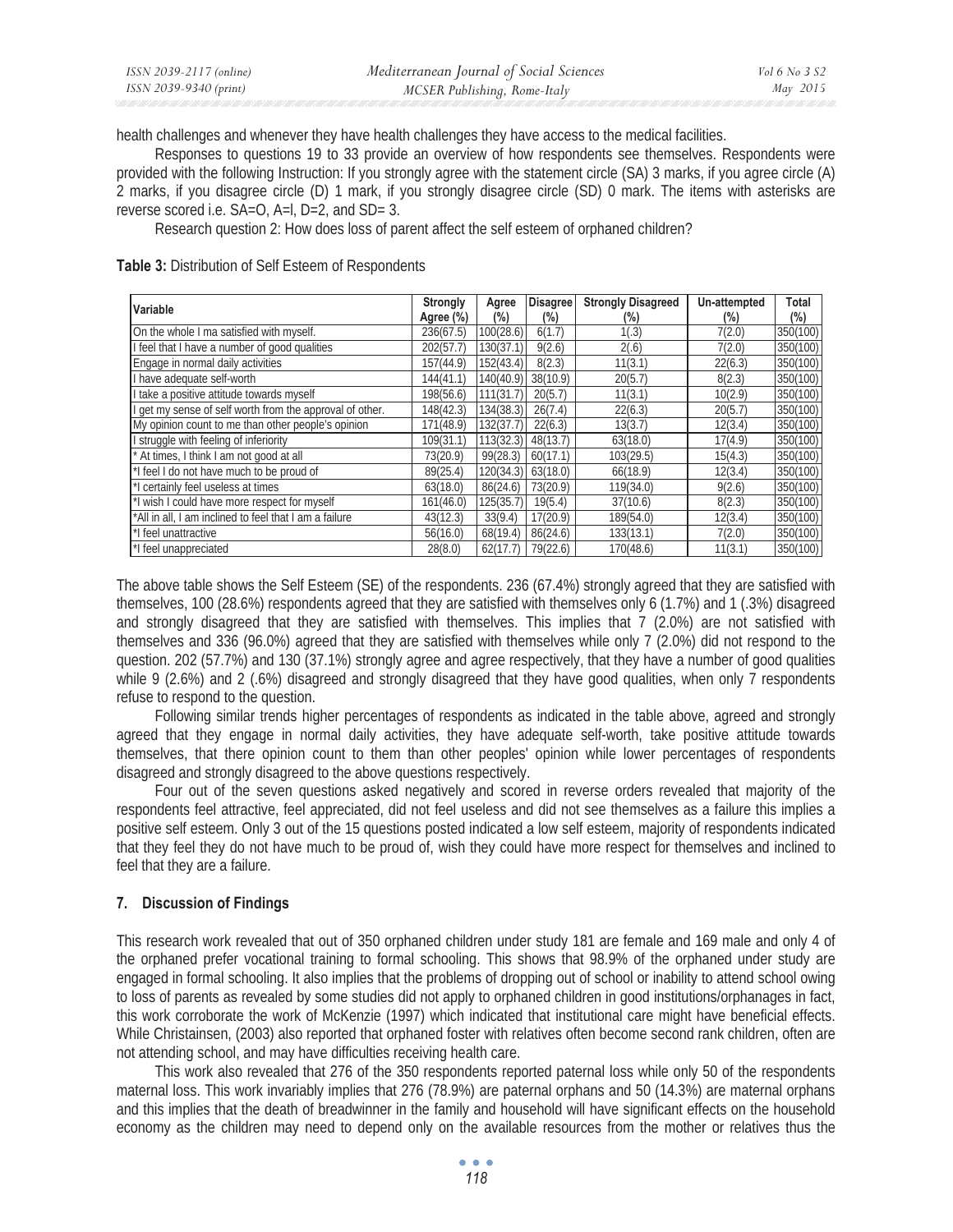| ISSN 2039-2117 (online) | Mediterranean Journal of Social Sciences | <i>Vol</i> 6 <i>No</i> 3 <i>S</i> 2 |
|-------------------------|------------------------------------------|-------------------------------------|
| ISSN 2039-9340 (print)  | MCSER Publishing, Rome-Italy             | May 2015                            |

health challenges and whenever they have health challenges they have access to the medical facilities.

Responses to questions 19 to 33 provide an overview of how respondents see themselves. Respondents were provided with the following Instruction: If you strongly agree with the statement circle (SA) 3 marks, if you agree circle (A) 2 marks, if you disagree circle (D) 1 mark, if you strongly disagree circle (SD) 0 mark. The items with asterisks are reverse scored i.e. SA=O, A=l, D=2, and SD= 3.

Research question 2: How does loss of parent affect the self esteem of orphaned children?

**Table 3:** Distribution of Self Esteem of Respondents

| Variable                                                 | Strongly<br>Agree (%) | Agree<br>(%) | <b>Disagree</b><br>(%) | <b>Strongly Disagreed</b><br>(%) | Un-attempted<br>$(\%)$ | Total<br>$(\%)$ |
|----------------------------------------------------------|-----------------------|--------------|------------------------|----------------------------------|------------------------|-----------------|
| On the whole I ma satisfied with myself.                 | 236(67.5)             | 100(28.6)    | 6(1.7)                 | 1(.3)                            | 7(2.0)                 | 350(100)        |
| I feel that I have a number of good qualities            | 202(57.7)             | 130(37.1)    | 9(2.6)                 | 2(.6)                            | 7(2.0)                 | 350(100)        |
| Engage in normal daily activities                        | 157(44.9)             | 152(43.4)    | 8(2.3)                 | 11(3.1)                          | 22(6.3)                | 350(100)        |
| I have adequate self-worth                               | 144(41.1)             | 140(40.9)    | 38(10.9)               | 20(5.7)                          | 8(2.3)                 | 350(100)        |
| take a positive attitude towards myself                  | 198(56.6)             | 111(31.7)    | 20(5.7)                | 11(3.1)                          | 10(2.9)                | 350(100)        |
| I get my sense of self worth from the approval of other. | 148(42.3)             | 134(38.3)    | 26(7.4)                | 22(6.3)                          | 20(5.7)                | 350(100)        |
| My opinion count to me than other people's opinion       | 171(48.9)             | 132(37.7)    | 22(6.3)                | 13(3.7)                          | 12(3.4)                | 350(100)        |
| struggle with feeling of inferiority                     | 109(31.1)             | 113(32.3)    | 48(13.7)               | 63(18.0)                         | 17(4.9)                | 350(100)        |
| At times, I think I am not good at all                   | 73(20.9)              | 99(28.3)     | 60(17.1)               | 103(29.5)                        | 15(4.3)                | 350(100)        |
| *I feel I do not have much to be proud of                | 89(25.4)              | 120(34.3)    | 63(18.0)               | 66(18.9)                         | 12(3.4)                | 350(100)        |
| I certainly feel useless at times                        | 63(18.0)              | 86(24.6)     | 73(20.9)               | 119(34.0)                        | 9(2.6)                 | 350(100)        |
| *I wish I could have more respect for myself             | 161(46.0)             | 125(35.7)    | 19(5.4)                | 37(10.6)                         | 8(2.3)                 | 350(100)        |
| *All in all, I am inclined to feel that I am a failure   | 43(12.3)              | 33(9.4)      | 17(20.9)               | 189(54.0)                        | 12(3.4)                | 350(100)        |
| *I feel unattractive                                     | 56(16.0)              | 68(19.4)     | 86(24.6)               | 133(13.1)                        | 7(2.0)                 | 350(100)        |
| *I feel unappreciated                                    | 28(8.0)               | 62(17.7)     | 79(22.6)               | 170(48.6)                        | 11(3.1)                | 350(100)        |

The above table shows the Self Esteem (SE) of the respondents. 236 (67.4%) strongly agreed that they are satisfied with themselves, 100 (28.6%) respondents agreed that they are satisfied with themselves only 6 (1.7%) and 1 (.3%) disagreed and strongly disagreed that they are satisfied with themselves. This implies that 7 (2.0%) are not satisfied with themselves and 336 (96.0%) agreed that they are satisfied with themselves while only 7 (2.0%) did not respond to the question. 202 (57.7%) and 130 (37.1%) strongly agree and agree respectively, that they have a number of good qualities while 9 (2.6%) and 2 (.6%) disagreed and strongly disagreed that they have good qualities, when only 7 respondents refuse to respond to the question.

Following similar trends higher percentages of respondents as indicated in the table above, agreed and strongly agreed that they engage in normal daily activities, they have adequate self-worth, take positive attitude towards themselves, that there opinion count to them than other peoples' opinion while lower percentages of respondents disagreed and strongly disagreed to the above questions respectively.

Four out of the seven questions asked negatively and scored in reverse orders revealed that majority of the respondents feel attractive, feel appreciated, did not feel useless and did not see themselves as a failure this implies a positive self esteem. Only 3 out of the 15 questions posted indicated a low self esteem, majority of respondents indicated that they feel they do not have much to be proud of, wish they could have more respect for themselves and inclined to feel that they are a failure.

#### **7. Discussion of Findings**

This research work revealed that out of 350 orphaned children under study 181 are female and 169 male and only 4 of the orphaned prefer vocational training to formal schooling. This shows that 98.9% of the orphaned under study are engaged in formal schooling. It also implies that the problems of dropping out of school or inability to attend school owing to loss of parents as revealed by some studies did not apply to orphaned children in good institutions/orphanages in fact, this work corroborate the work of McKenzie (1997) which indicated that institutional care might have beneficial effects. While Christainsen, (2003) also reported that orphaned foster with relatives often become second rank children, often are not attending school, and may have difficulties receiving health care.

This work also revealed that 276 of the 350 respondents reported paternal loss while only 50 of the respondents maternal loss. This work invariably implies that 276 (78.9%) are paternal orphans and 50 (14.3%) are maternal orphans and this implies that the death of breadwinner in the family and household will have significant effects on the household economy as the children may need to depend only on the available resources from the mother or relatives thus the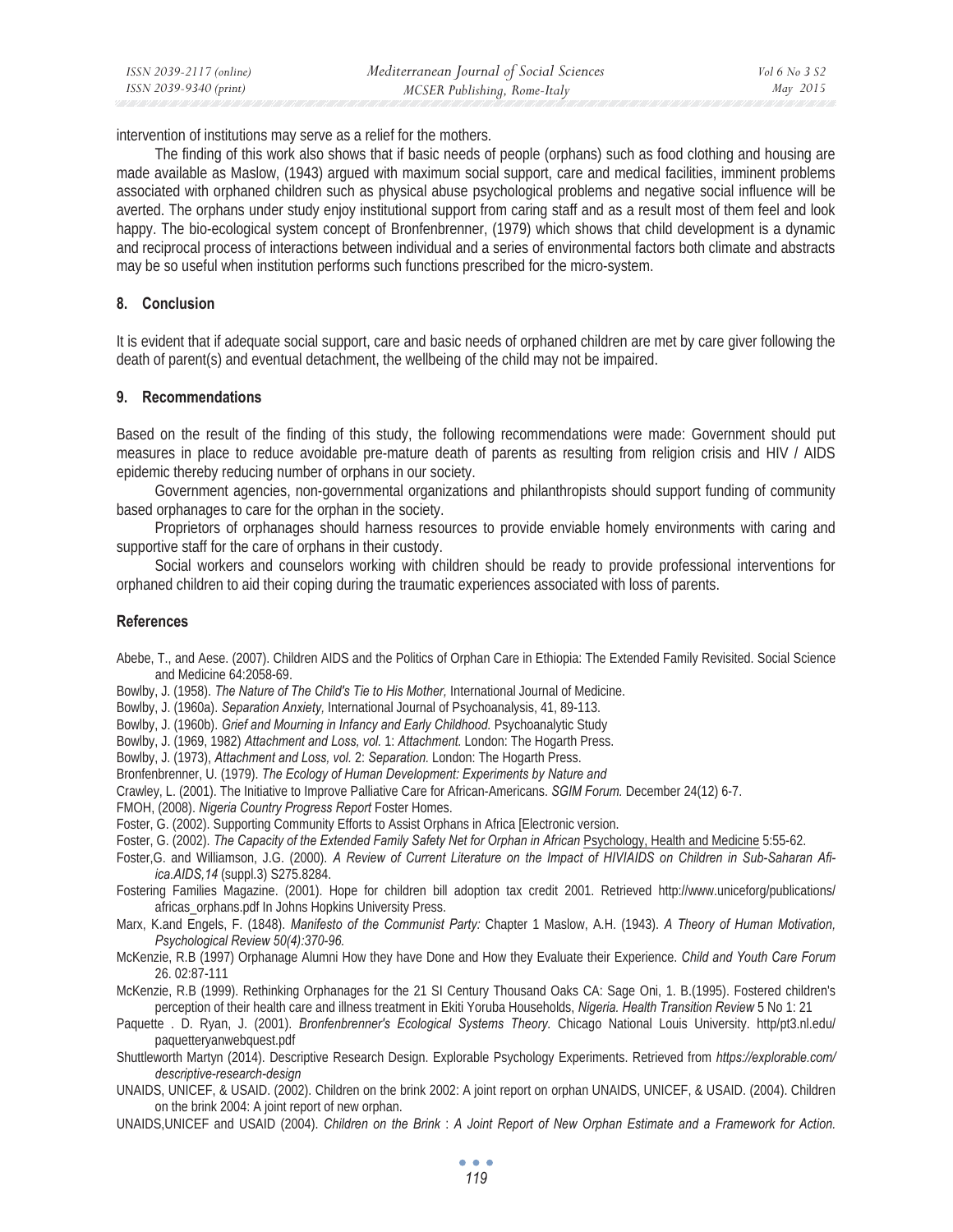intervention of institutions may serve as a relief for the mothers*.* 

The finding of this work also shows that if basic needs of people (orphans) such as food clothing and housing are made available as Maslow, (1943) argued with maximum social support, care and medical facilities, imminent problems associated with orphaned children such as physical abuse psychological problems and negative social influence will be averted. The orphans under study enjoy institutional support from caring staff and as a result most of them feel and look happy. The bio-ecological system concept of Bronfenbrenner, (1979) which shows that child development is a dynamic and reciprocal process of interactions between individual and a series of environmental factors both climate and abstracts may be so useful when institution performs such functions prescribed for the micro-system.

#### **8. Conclusion**

It is evident that if adequate social support, care and basic needs of orphaned children are met by care giver following the death of parent(s) and eventual detachment, the wellbeing of the child may not be impaired.

#### **9. Recommendations**

Based on the result of the finding of this study, the following recommendations were made: Government should put measures in place to reduce avoidable pre-mature death of parents as resulting from religion crisis and HIV / AIDS epidemic thereby reducing number of orphans in our society.

Government agencies, non-governmental organizations and philanthropists should support funding of community based orphanages to care for the orphan in the society.

Proprietors of orphanages should harness resources to provide enviable homely environments with caring and supportive staff for the care of orphans in their custody.

Social workers and counselors working with children should be ready to provide professional interventions for orphaned children to aid their coping during the traumatic experiences associated with loss of parents.

#### **References**

Abebe, T., and Aese. (2007). Children AIDS and the Politics of Orphan Care in Ethiopia: The Extended Family Revisited. Social Science and Medicine 64:2058-69.

Bowlby, J. (1958). *The Nature of The Child's Tie to His Mother,* International Journal of Medicine.

Bowlby, J. (1960a). *Separation Anxiety,* International Journal of Psychoanalysis, 41, 89-113.

Bowlby, J. (1960b). *Grief and Mourning in Infancy and Early Childhood.* Psychoanalytic Study

Bowlby, J. (1969, 1982) *Attachment and Loss, vol.* 1: *Attachment.* London: The Hogarth Press.

Bowlby, J. (1973), *Attachment and Loss, vol.* 2: *Separation.* London: The Hogarth Press.

Bronfenbrenner, U. (1979). *The Ecology of Human Development: Experiments by Nature and* 

Crawley, L. (2001). The Initiative to Improve Palliative Care for African-Americans. *SGIM Forum.* December 24(12) 6-7.

FMOH, (2008). *Nigeria Country Progress Report* Foster Homes.

Foster, G. (2002). Supporting Community Efforts to Assist Orphans in Africa [Electronic version.

Foster, G. (2002). *The Capacity of the Extended Family Safety Net for Orphan in African Psychology*, Health and Medicine 5:55-62.

- Foster,G. and Williamson, J.G. (2000). *A Review of Current Literature on the Impact of HIVIAIDS on Children in Sub-Saharan Afiica.AIDS,14* (suppl.3) S275.8284.
- Fostering Families Magazine. (2001). Hope for children bill adoption tax credit 2001. Retrieved http://www.uniceforg/publications/ africas\_orphans.pdf In Johns Hopkins University Press.

Marx, K.and Engels, F. (1848). *Manifesto of the Communist Party:* Chapter 1 Maslow, A.H. (1943). *A Theory of Human Motivation, Psychological Review 50(4):370-96.* 

McKenzie, R.B (1997) Orphanage Alumni How they have Done and How they Evaluate their Experience. *Child and Youth Care Forum*  26. 02:87-111

McKenzie, R.B (1999). Rethinking Orphanages for the 21 SI Century Thousand Oaks CA: Sage Oni, 1. B.(1995). Fostered children's perception of their health care and illness treatment in Ekiti Yoruba Households, *Nigeria. Health Transition Review* 5 No 1: 21

Paquette . D. Ryan, J. (2001). *Bronfenbrenner's Ecological Systems Theory.* Chicago National Louis University. http/pt3.nl.edu/ paquetteryanwebquest.pdf

Shuttleworth Martyn (2014). Descriptive Research Design. Explorable Psychology Experiments. Retrieved from *https://explorable.com/ descriptive-research-design*

UNAIDS, UNICEF, & USAID. (2002). Children on the brink 2002: A joint report on orphan UNAIDS, UNICEF, & USAID. (2004). Children on the brink 2004: A joint report of new orphan.

UNAIDS,UNICEF and USAID (2004). *Children on the Brink* : *A Joint Report of New Orphan Estimate and a Framework for Action.*